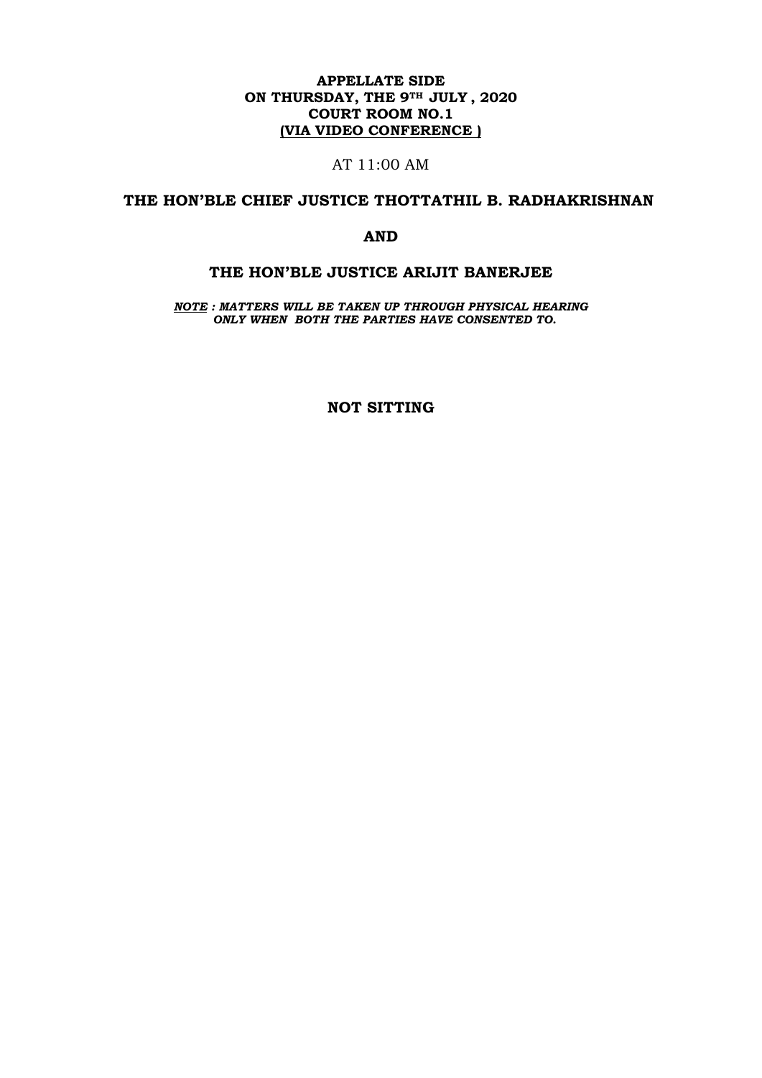## **APPELLATE SIDE ON THURSDAY, THE 9TH JULY , 2020 COURT ROOM NO.1 (VIA VIDEO CONFERENCE )**

## AT 11:00 AM

## **THE HON'BLE CHIEF JUSTICE THOTTATHIL B. RADHAKRISHNAN**

### **AND**

### **THE HON'BLE JUSTICE ARIJIT BANERJEE**

*NOTE : MATTERS WILL BE TAKEN UP THROUGH PHYSICAL HEARING ONLY WHEN BOTH THE PARTIES HAVE CONSENTED TO.*

**NOT SITTING**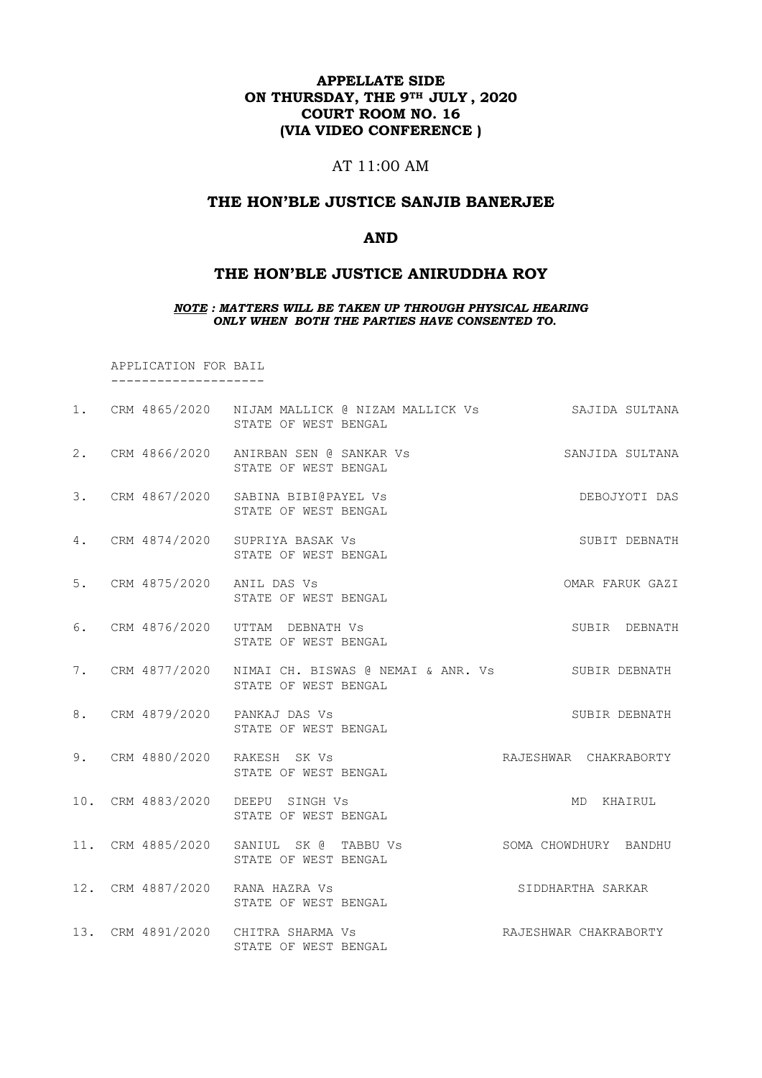## **APPELLATE SIDE ON THURSDAY, THE 9TH JULY , 2020 COURT ROOM NO. 16 (VIA VIDEO CONFERENCE )**

## AT 11:00 AM

### **THE HON'BLE JUSTICE SANJIB BANERJEE**

### **AND**

## **THE HON'BLE JUSTICE ANIRUDDHA ROY**

### *NOTE : MATTERS WILL BE TAKEN UP THROUGH PHYSICAL HEARING ONLY WHEN BOTH THE PARTIES HAVE CONSENTED TO.*

 APPLICATION FOR BAIL --------------------

|                              | 1. CRM 4865/2020 NIJAM MALLICK @ NIZAM MALLICK Vs SAJIDA SULTANA<br>STATE OF WEST BENGAL  |                       |
|------------------------------|-------------------------------------------------------------------------------------------|-----------------------|
|                              | 2. CRM 4866/2020 ANIRBAN SEN @ SANKAR Vs<br>STATE OF WEST BENGAL                          | SANJIDA SULTANA       |
|                              | 3. CRM 4867/2020 SABINA BIBI@PAYEL Vs<br>STATE OF WEST BENGAL                             | DEBOJYOTI DAS         |
|                              | 4. CRM 4874/2020 SUPRIYA BASAK Vs<br>STATE OF WEST BENGAL                                 | SUBIT DEBNATH         |
| 5. CRM 4875/2020 ANIL DAS Vs | STATE OF WEST BENGAL                                                                      | OMAR FARUK GAZI       |
|                              | 6. CRM 4876/2020 UTTAM DEBNATH Vs<br>STATE OF WEST BENGAL                                 | SUBIR DEBNATH         |
|                              | 7. CRM 4877/2020 NIMAI CH. BISWAS @ NEMAI & ANR. Vs SUBIR DEBNATH<br>STATE OF WEST BENGAL |                       |
|                              | 8. CRM 4879/2020 PANKAJ DAS Vs<br>STATE OF WEST BENGAL                                    | SUBIR DEBNATH         |
|                              | 9. CRM 4880/2020 RAKESH SK Vs<br>STATE OF WEST BENGAL                                     | RAJESHWAR CHAKRABORTY |
|                              | 10. CRM 4883/2020 DEEPU SINGH Vs<br>STATE OF WEST BENGAL                                  | MD KHAIRUL            |
|                              | 11. CRM 4885/2020 SANIUL SK @ TABBU Vs SOMA CHOWDHURY BANDHU<br>STATE OF WEST BENGAL      |                       |
|                              | 12. CRM 4887/2020 RANA HAZRA Vs<br>STATE OF WEST BENGAL                                   | SIDDHARTHA SARKAR     |
|                              | 13. CRM 4891/2020 CHITRA SHARMA Vs<br>STATE OF WEST BENGAL                                | RAJESHWAR CHAKRABORTY |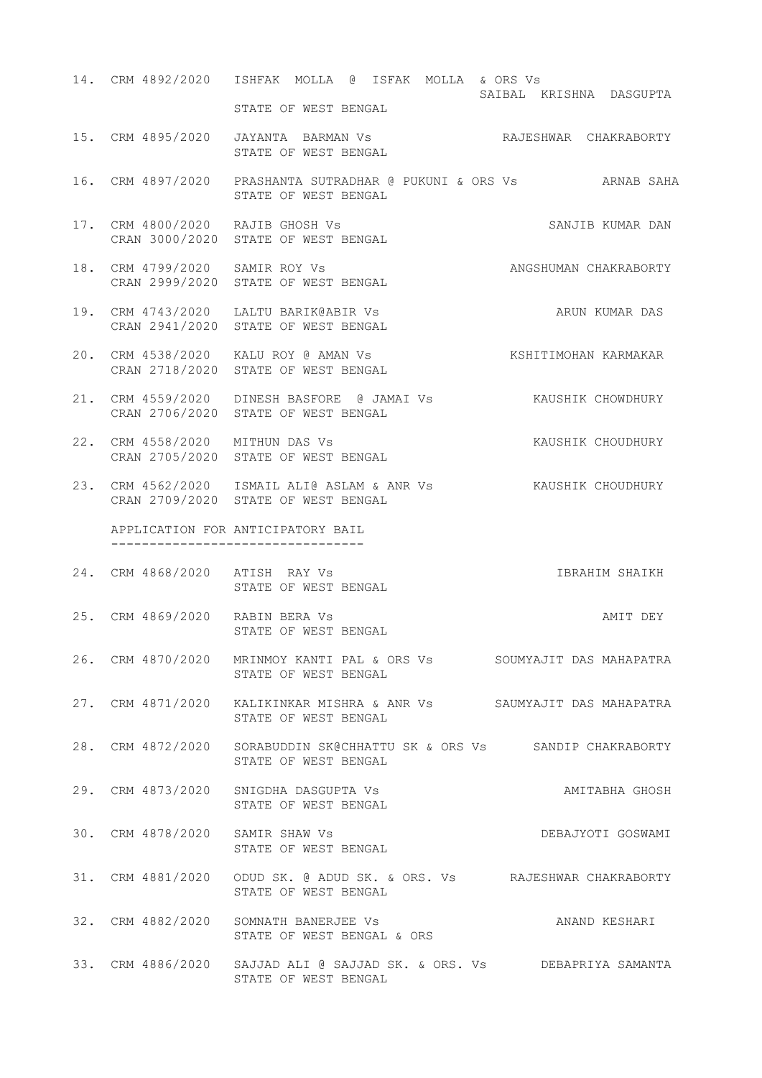- 14. CRM 4892/2020 ISHFAK MOLLA @ ISFAK MOLLA & ORS Vs SAIBAL KRISHNA DASGUPTA STATE OF WEST BENGAL
- 15. CRM 4895/2020 JAYANTA BARMAN Vs RAJESHWAR CHAKRABORTY STATE OF WEST BENGAL
- 16. CRM 4897/2020 PRASHANTA SUTRADHAR @ PUKUNI & ORS Vs ARNAB SAHA STATE OF WEST BENGAL
- 17. CRM 4800/2020 RAJIB GHOSH Vs SANJIB KUMAR DAN CRAN 3000/2020 STATE OF WEST BENGAL
- 18. CRM 4799/2020 SAMIR ROY Vs ANGSHUMAN CHAKRABORTY CRAN 2999/2020 STATE OF WEST BENGAL
- 19. CRM 4743/2020 LALTU BARIK@ABIR Vs ARUN KUMAR DAS CRAN 2941/2020 STATE OF WEST BENGAL
- 20. CRM 4538/2020 KALU ROY @ AMAN Vs KSHITIMOHAN KARMAKAR CRAN 2718/2020 STATE OF WEST BENGAL
- 21. CRM 4559/2020 DINESH BASFORE @ JAMAI Vs KAUSHIK CHOWDHURY CRAN 2706/2020 STATE OF WEST BENGAL
- 22. CRM 4558/2020 MITHUN DAS Vs KAUSHIK CHOUDHURY CRAN 2705/2020 STATE OF WEST BENGAL
- 23. CRM 4562/2020 ISMAIL ALI@ ASLAM & ANR Vs KAUSHIK CHOUDHURY CRAN 2709/2020 STATE OF WEST BENGAL

 APPLICATION FOR ANTICIPATORY BAIL ---------------------------------

- 24. CRM 4868/2020 ATISH RAY Vs IBRAHIM SHAIKH STATE OF WEST BENGAL
- 25. CRM 4869/2020 RABIN BERA Vs AMIT DEY STATE OF WEST BENGAL
- 26. CRM 4870/2020 MRINMOY KANTI PAL & ORS Vs SOUMYAJIT DAS MAHAPATRA STATE OF WEST BENGAL
- 27. CRM 4871/2020 KALIKINKAR MISHRA & ANR Vs SAUMYAJIT DAS MAHAPATRA STATE OF WEST BENGAL
- 28. CRM 4872/2020 SORABUDDIN SK@CHHATTU SK & ORS Vs SANDIP CHAKRABORTY STATE OF WEST BENGAL
- 29. CRM 4873/2020 SNIGDHA DASGUPTA Vs AMITABHA GHOSH STATE OF WEST BENGAL
- 30. CRM 4878/2020 SAMIR SHAW Vs DEBAJYOTI GOSWAMI STATE OF WEST BENGAL
- 31. CRM 4881/2020 ODUD SK. @ ADUD SK. & ORS. Vs RAJESHWAR CHAKRABORTY STATE OF WEST BENGAL
- 32. CRM 4882/2020 SOMNATH BANERJEE Vs ANAND KESHARI STATE OF WEST BENGAL & ORS
- 33. CRM 4886/2020 SAJJAD ALI @ SAJJAD SK. & ORS. Vs DEBAPRIYA SAMANTA STATE OF WEST BENGAL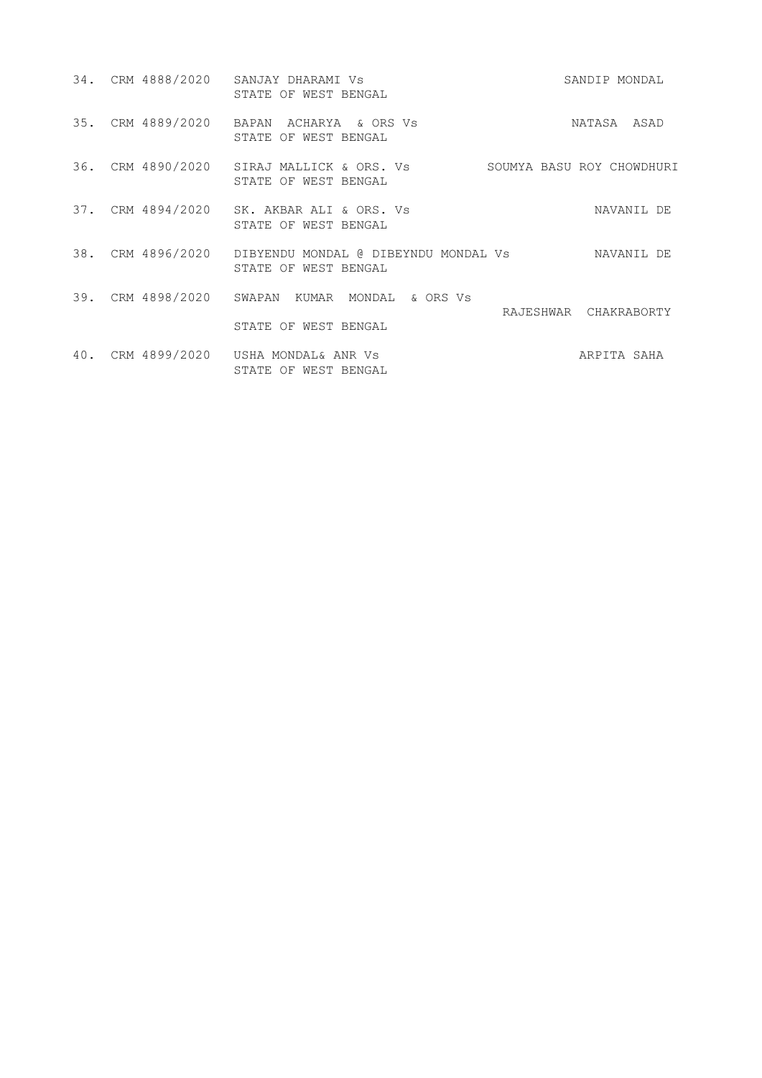|     | 34. CRM 4888/2020 SANJAY DHARAMI Vs<br>STATE OF WEST BENGAL                                 | SANDIP MONDAL         |
|-----|---------------------------------------------------------------------------------------------|-----------------------|
|     | 35. CRM 4889/2020 BAPAN ACHARYA & ORS Vs<br>STATE OF WEST BENGAL                            | NATASA ASAD           |
|     | 36. CRM 4890/2020 SIRAJ MALLICK & ORS. Vs SOUMYA BASU ROY CHOWDHURI<br>STATE OF WEST BENGAL |                       |
|     | 37. CRM 4894/2020 SK. AKBAR ALI & ORS. Vs<br>STATE OF WEST BENGAL                           | NAVANIL DE            |
|     | 38. CRM 4896/2020 DIBYENDU MONDAL @ DIBEYNDU MONDAL Vs<br>STATE OF WEST BENGAL              | NAVANIL DE            |
|     | 39. CRM 4898/2020 SWAPAN KUMAR MONDAL & ORS Vs                                              | RAJESHWAR CHAKRABORTY |
|     | STATE OF WEST BENGAL                                                                        |                       |
| 40. | CRM 4899/2020 USHA MONDAL& ANR Vs<br>STATE OF WEST BENGAL                                   | ARPITA SAHA           |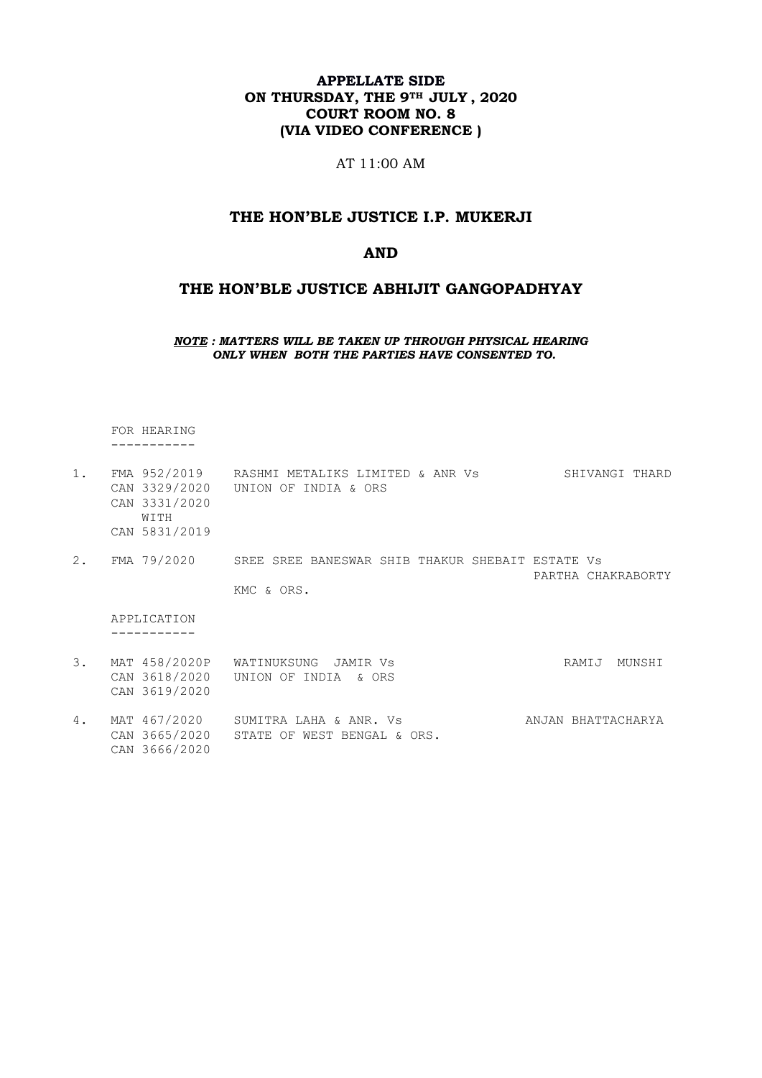## **APPELLATE SIDE ON THURSDAY, THE 9TH JULY , 2020 COURT ROOM NO. 8 (VIA VIDEO CONFERENCE )**

AT 11:00 AM

## **THE HON'BLE JUSTICE I.P. MUKERJI**

### **AND**

## **THE HON'BLE JUSTICE ABHIJIT GANGOPADHYAY**

*NOTE : MATTERS WILL BE TAKEN UP THROUGH PHYSICAL HEARING ONLY WHEN BOTH THE PARTIES HAVE CONSENTED TO.*

 FOR HEARING -----------

CAN 3666/2020

| 1.              | FMA 952/2019<br>CAN 3329/2020<br>CAN 3331/2020<br>WITH<br>CAN 5831/2019 | RASHMI METALIKS LIMITED & ANR VS<br>UNION OF INDIA & ORS | SHIVANGI THARD     |
|-----------------|-------------------------------------------------------------------------|----------------------------------------------------------|--------------------|
| 2.              | FMA 79/2020                                                             | SREE SREE BANESWAR SHIB THAKUR SHEBAIT ESTATE VS         | PARTHA CHAKRABORTY |
|                 |                                                                         | KMC & ORS.                                               |                    |
|                 | APPLICATION                                                             |                                                          |                    |
| $\mathcal{E}$ . | MAT 458/2020P<br>CAN 3618/2020<br>CAN 3619/2020                         | WATINUKSUNG JAMIR VS<br>UNION OF INDIA<br>& ORS          | RAMIJ<br>MUNSHI    |
| 4.              | MAT 467/2020<br>CAN 3665/2020                                           | SUMITRA LAHA & ANR. Vs<br>STATE OF WEST BENGAL & ORS.    | ANJAN BHATTACHARYA |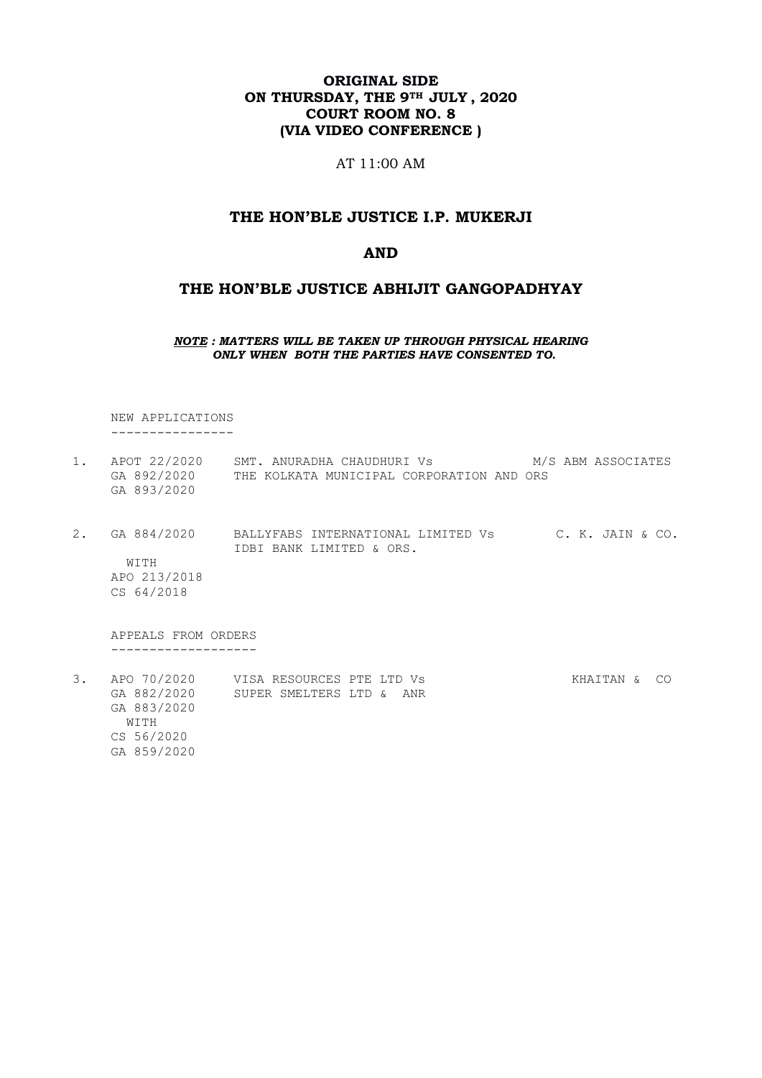### **ORIGINAL SIDE ON THURSDAY, THE 9TH JULY , 2020 COURT ROOM NO. 8 (VIA VIDEO CONFERENCE )**

AT 11:00 AM

### **THE HON'BLE JUSTICE I.P. MUKERJI**

### **AND**

### **THE HON'BLE JUSTICE ABHIJIT GANGOPADHYAY**

*NOTE : MATTERS WILL BE TAKEN UP THROUGH PHYSICAL HEARING ONLY WHEN BOTH THE PARTIES HAVE CONSENTED TO.*

 NEW APPLICATIONS ----------------

- 1. APOT 22/2020 SMT. ANURADHA CHAUDHURI Vs M/S ABM ASSOCIATES GA 892/2020 THE KOLKATA MUNICIPAL CORPORATION AND ORS GA 893/2020
- 2. GA 884/2020 BALLYFABS INTERNATIONAL LIMITED Vs C. K. JAIN & CO. IDBI BANK LIMITED & ORS. WITH APO 213/2018 CS 64/2018

 APPEALS FROM ORDERS -------------------

3. APO 70/2020 VISA RESOURCES PTE LTD Vs 6 KHAITAN & CO GA 882/2020 SUPER SMELTERS LTD & ANR GA 883/2020 WITH CS 56/2020 GA 859/2020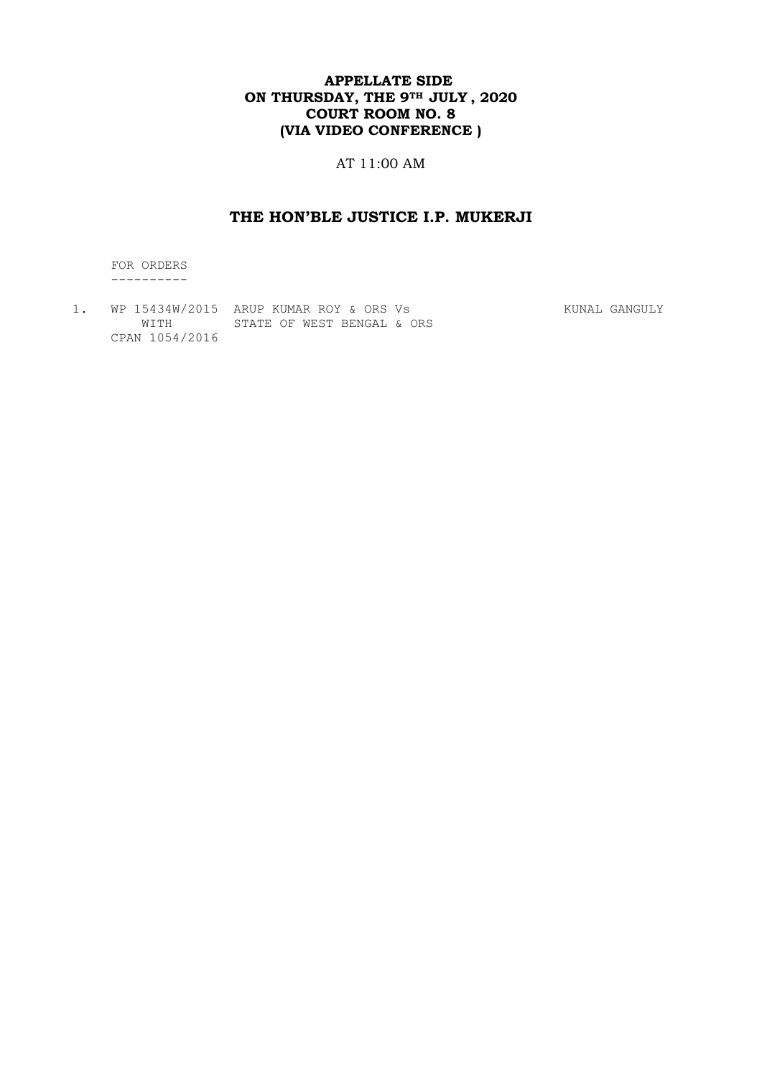## **APPELLATE SIDE ON THURSDAY, THE 9TH JULY , 2020 COURT ROOM NO. 8 (VIA VIDEO CONFERENCE )**

AT 11:00 AM

# **THE HON'BLE JUSTICE I.P. MUKERJI**

 FOR ORDERS ----------

1. WP 15434W/2015 ARUP KUMAR ROY & ORS Vs Sangword Mund GANGULY WITH STATE OF WEST BENGAL & ORS CPAN 1054/2016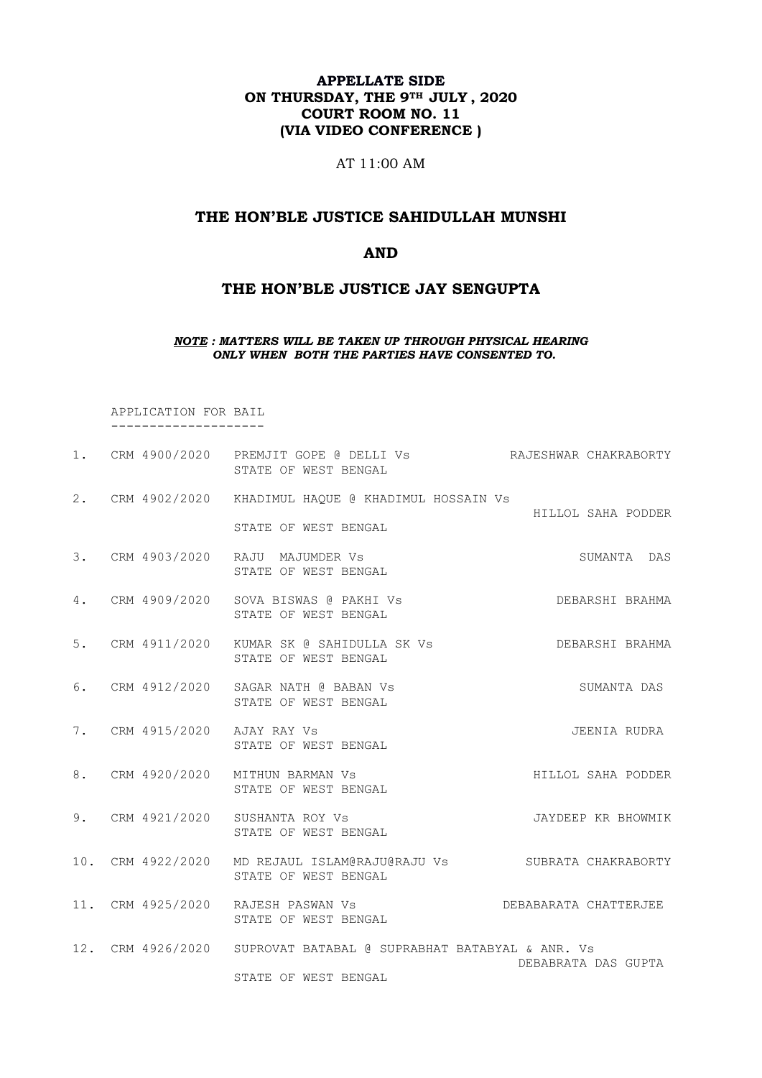## **APPELLATE SIDE ON THURSDAY, THE 9TH JULY , 2020 COURT ROOM NO. 11 (VIA VIDEO CONFERENCE )**

AT 11:00 AM

## **THE HON'BLE JUSTICE SAHIDULLAH MUNSHI**

### **AND**

### **THE HON'BLE JUSTICE JAY SENGUPTA**

#### *NOTE : MATTERS WILL BE TAKEN UP THROUGH PHYSICAL HEARING ONLY WHEN BOTH THE PARTIES HAVE CONSENTED TO.*

 APPLICATION FOR BAIL --------------------

|  | 1. CRM 4900/2020 PREMJIT GOPE @ DELLI Vs AAJESHWAR CHAKRABORTY<br>STATE OF WEST BENGAL     |                       |
|--|--------------------------------------------------------------------------------------------|-----------------------|
|  | 2. CRM 4902/2020 KHADIMUL HAQUE @ KHADIMUL HOSSAIN Vs                                      | HILLOL SAHA PODDER    |
|  | STATE OF WEST BENGAL<br>3. CRM 4903/2020 RAJU MAJUMDER Vs<br>STATE OF WEST BENGAL          | SUMANTA DAS           |
|  | 4. CRM 4909/2020 SOVA BISWAS @ PAKHI Vs<br>STATE OF WEST BENGAL                            | DEBARSHI BRAHMA       |
|  | 5. CRM 4911/2020 KUMAR SK @ SAHIDULLA SK Vs<br>STATE OF WEST BENGAL                        | DEBARSHI BRAHMA       |
|  | 6. CRM 4912/2020 SAGAR NATH @ BABAN Vs<br>STATE OF WEST BENGAL                             | SUMANTA DAS           |
|  | 7. CRM 4915/2020 AJAY RAY Vs<br>STATE OF WEST BENGAL                                       | JEENIA RUDRA          |
|  | 8. CRM 4920/2020 MITHUN BARMAN Vs<br>STATE OF WEST BENGAL                                  | HILLOL SAHA PODDER    |
|  | 9. CRM 4921/2020 SUSHANTA ROY Vs<br>STATE OF WEST BENGAL                                   | JAYDEEP KR BHOWMIK    |
|  | 10. CRM 4922/2020 MD REJAUL ISLAM@RAJU@RAJU Vs SUBRATA CHAKRABORTY<br>STATE OF WEST BENGAL |                       |
|  | 11. CRM 4925/2020 RAJESH PASWAN Vs<br>STATE OF WEST BENGAL                                 | DEBABARATA CHATTERJEE |
|  | 12. CRM 4926/2020 SUPROVAT BATABAL @ SUPRABHAT BATABYAL & ANR. Vs<br>STATE OF WEST BENGAL  | DEBABRATA DAS GUPTA   |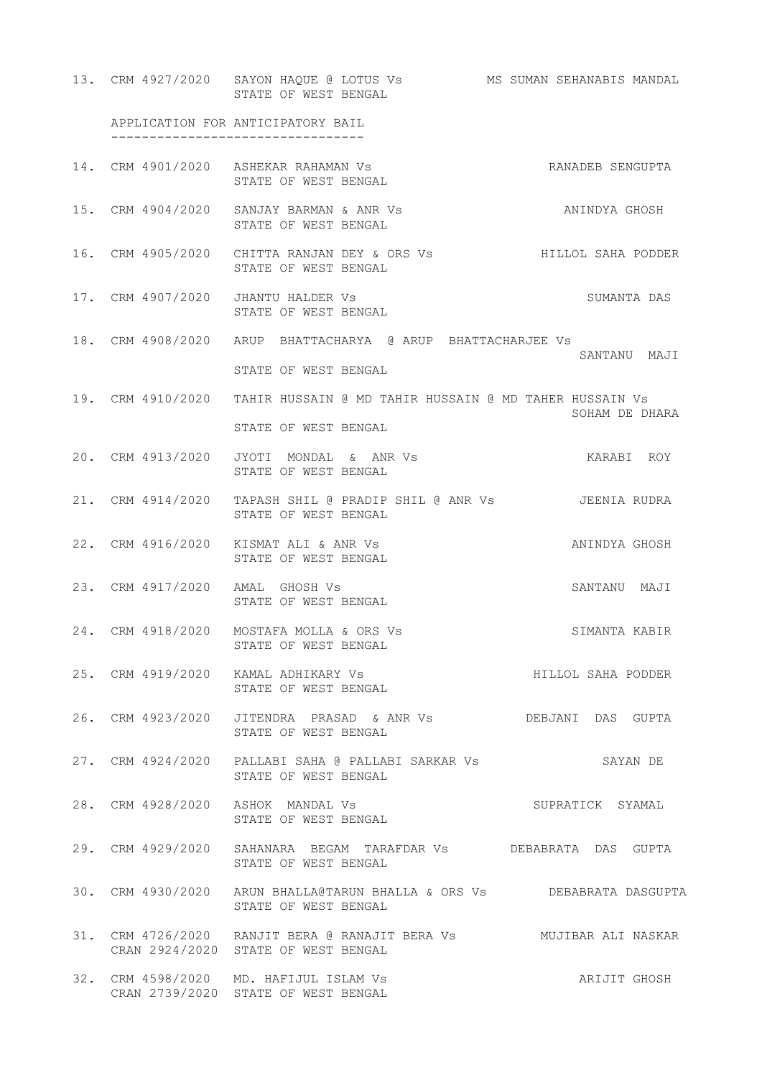13. CRM 4927/2020 SAYON HAQUE @ LOTUS Vs MS SUMAN SEHANABIS MANDAL STATE OF WEST BENGAL APPLICATION FOR ANTICIPATORY BAIL --------------------------------- 14. CRM 4901/2020 ASHEKAR RAHAMAN Vs **RANADEB** SENGUPTA STATE OF WEST BENGAL 15. CRM 4904/2020 SANJAY BARMAN & ANR Vs ANINDYA GHOSH STATE OF WEST BENGAL 16. CRM 4905/2020 CHITTA RANJAN DEY & ORS Vs HILLOL SAHA PODDER STATE OF WEST BENGAL 17. CRM 4907/2020 JHANTU HALDER Vs SUMANTA DAS STATE OF WEST BENGAL 18. CRM 4908/2020 ARUP BHATTACHARYA @ ARUP BHATTACHARJEE Vs SANTANU MAJI STATE OF WEST BENGAL 19. CRM 4910/2020 TAHIR HUSSAIN @ MD TAHIR HUSSAIN @ MD TAHER HUSSAIN Vs SOHAM DE DHARA STATE OF WEST BENGAL 20. CRM 4913/2020 JYOTI MONDAL & ANR Vs KARABI ROY STATE OF WEST BENGAL 21. CRM 4914/2020 TAPASH SHIL @ PRADIP SHIL @ ANR Vs JEENIA RUDRA STATE OF WEST BENGAL 22. CRM 4916/2020 KISMAT ALI & ANR Vs ANINDYA GHOSH STATE OF WEST BENGAL 23. CRM 4917/2020 AMAL GHOSH Vs SANTANU MAJI STATE OF WEST BENGAL 24. CRM 4918/2020 MOSTAFA MOLLA & ORS Vs SIMANTA KABIR STATE OF WEST BENGAL 25. CRM 4919/2020 KAMAL ADHIKARY Vs HILLOL SAHA PODDER STATE OF WEST BENGAL 26. CRM 4923/2020 JITENDRA PRASAD & ANR Vs DEBJANI DAS GUPTA STATE OF WEST BENGAL 27. CRM 4924/2020 PALLABI SAHA @ PALLABI SARKAR Vs SAYAN DE STATE OF WEST BENGAL 28. CRM 4928/2020 ASHOK MANDAL Vs SUPRATICK SYAMAL STATE OF WEST BENGAL 29. CRM 4929/2020 SAHANARA BEGAM TARAFDAR Vs DEBABRATA DAS GUPTA STATE OF WEST BENGAL 30. CRM 4930/2020 ARUN BHALLA@TARUN BHALLA & ORS Vs DEBABRATA DASGUPTA STATE OF WEST BENGAL 31. CRM 4726/2020 RANJIT BERA @ RANAJIT BERA Vs MUJIBAR ALI NASKAR CRAN 2924/2020 STATE OF WEST BENGAL 32. CRM 4598/2020 MD. HAFIJUL ISLAM Vs ARIJIT GHOSH CRAN 2739/2020 STATE OF WEST BENGAL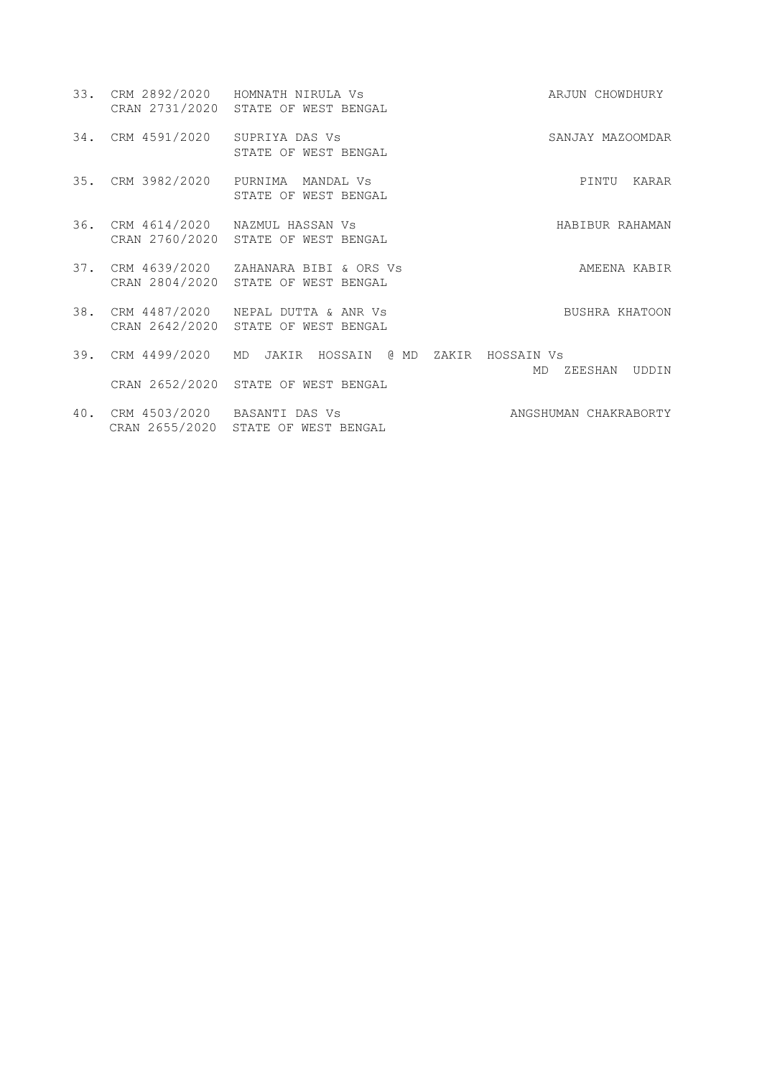|     |                                  | 33. CRM 2892/2020 HOMNATH NIRULA Vs<br>CRAN 2731/2020 STATE OF WEST BENGAL      | ARJUN CHOWDHURY        |
|-----|----------------------------------|---------------------------------------------------------------------------------|------------------------|
|     | 34. CRM 4591/2020 SUPRIYA DAS Vs | STATE OF WEST BENGAL                                                            | SANJAY MAZOOMDAR       |
|     |                                  | 35. CRM 3982/2020 PURNIMA MANDAL Vs<br>STATE OF WEST BENGAL                     | PINTU<br>KARAR         |
|     |                                  | 36. CRM 4614/2020 NAZMUL HASSAN Vs<br>CRAN 2760/2020 STATE OF WEST BENGAL       | HABIBUR RAHAMAN        |
|     |                                  | 37. CRM 4639/2020 ZAHANARA BIBI & ORS Vs<br>CRAN 2804/2020 STATE OF WEST BENGAL | AMEENA KABIR           |
|     |                                  | 38. CRM 4487/2020 NEPAL DUTTA & ANR Vs<br>CRAN 2642/2020 STATE OF WEST BENGAL   | BUSHRA KHATOON         |
| 39. | CRM 4499/2020 MD                 | JAKIR HOSSAIN @ MD ZAKIR HOSSAIN Vs                                             | MD<br>UDDIN<br>ZEESHAN |
|     |                                  | CRAN 2652/2020 STATE OF WEST BENGAL                                             |                        |
|     | 40. CRM 4503/2020 BASANTI DAS Vs |                                                                                 | ANGSHUMAN CHAKRABORTY  |

CRAN 2655/2020 STATE OF WEST BENGAL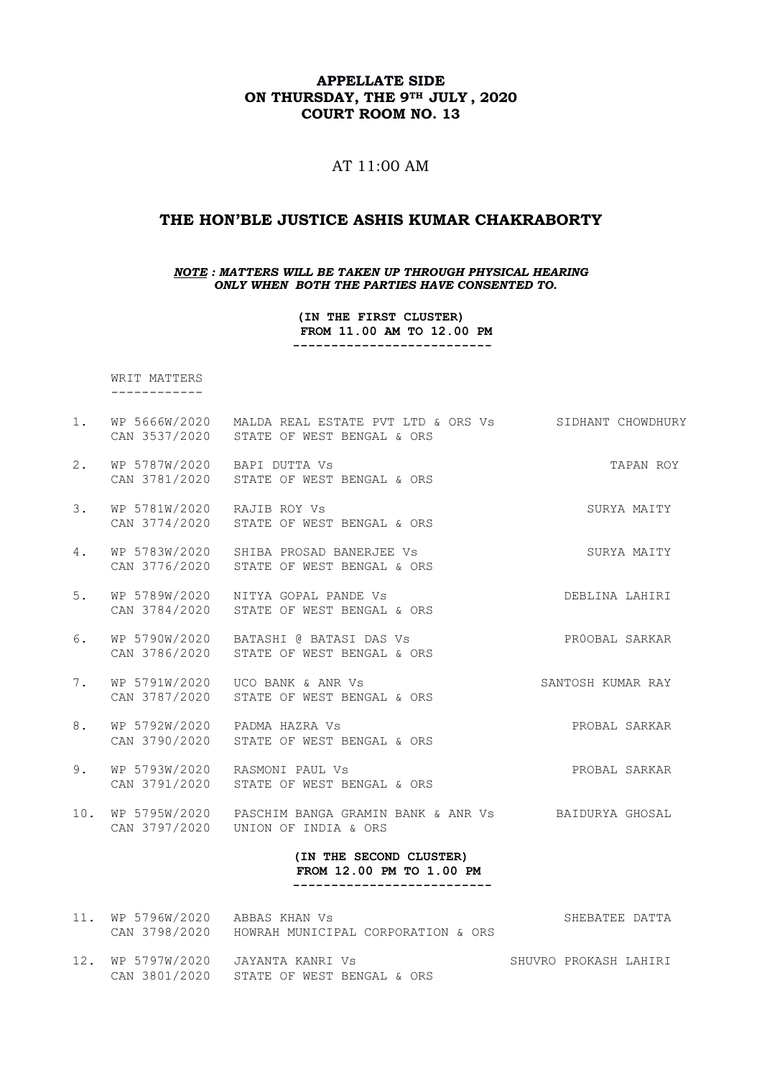### **APPELLATE SIDE ON THURSDAY, THE 9TH JULY , 2020 COURT ROOM NO. 13**

## AT 11:00 AM

### **THE HON'BLE JUSTICE ASHIS KUMAR CHAKRABORTY**

*NOTE : MATTERS WILL BE TAKEN UP THROUGH PHYSICAL HEARING ONLY WHEN BOTH THE PARTIES HAVE CONSENTED TO.*

> **(IN THE FIRST CLUSTER) FROM 11.00 AM TO 12.00 PM --------------------------**

 WRIT MATTERS ------------

- 1. WP 5666W/2020 MALDA REAL ESTATE PVT LTD & ORS Vs SIDHANT CHOWDHURY CAN 3537/2020 STATE OF WEST BENGAL & ORS 2. WP 5787W/2020 BAPI DUTTA Vs TAPAN ROY CAN 3781/2020 STATE OF WEST BENGAL & ORS 3. WP 5781W/2020 RAJIB ROY Vs SURYA MAITY CAN 3774/2020 STATE OF WEST BENGAL & ORS 4. WP 5783W/2020 SHIBA PROSAD BANERJEE Vs SURYA MAITY CAN 3776/2020 STATE OF WEST BENGAL & ORS 5. WP 5789W/2020 NITYA GOPAL PANDE Vs DEBLINA LAHIRI CAN 3784/2020 STATE OF WEST BENGAL & ORS 6. WP 5790W/2020 BATASHI @ BATASI DAS Vs PROOBAL SARKAR CAN 3786/2020 STATE OF WEST BENGAL & ORS 7. WP 5791W/2020 UCO BANK & ANR Vs SANTOSH KUMAR RAY CAN 3787/2020 STATE OF WEST BENGAL & ORS 8. WP 5792W/2020 PADMA HAZRA Vs PROBAL SARKAR CAN 3790/2020 STATE OF WEST BENGAL & ORS
- 9. WP 5793W/2020 RASMONI PAUL Vs PROBAL SARKAR CAN 3791/2020 STATE OF WEST BENGAL & ORS
- 10. WP 5795W/2020 PASCHIM BANGA GRAMIN BANK & ANR Vs BAIDURYA GHOSAL CAN 3797/2020 UNION OF INDIA & ORS

#### **(IN THE SECOND CLUSTER) FROM 12.00 PM TO 1.00 PM --------------------------**

| 11. WP 5796W/2020 ABBAS KHAN Vs | CAN 3798/2020 HOWRAH MUNICIPAL CORPORATION & ORS                               | SHEBATEE DATTA        |  |
|---------------------------------|--------------------------------------------------------------------------------|-----------------------|--|
|                                 | 12. WP 5797W/2020 JAYANTA KANRI Vs<br>CAN 3801/2020 STATE OF WEST BENGAL & ORS | SHUVRO PROKASH LAHIRI |  |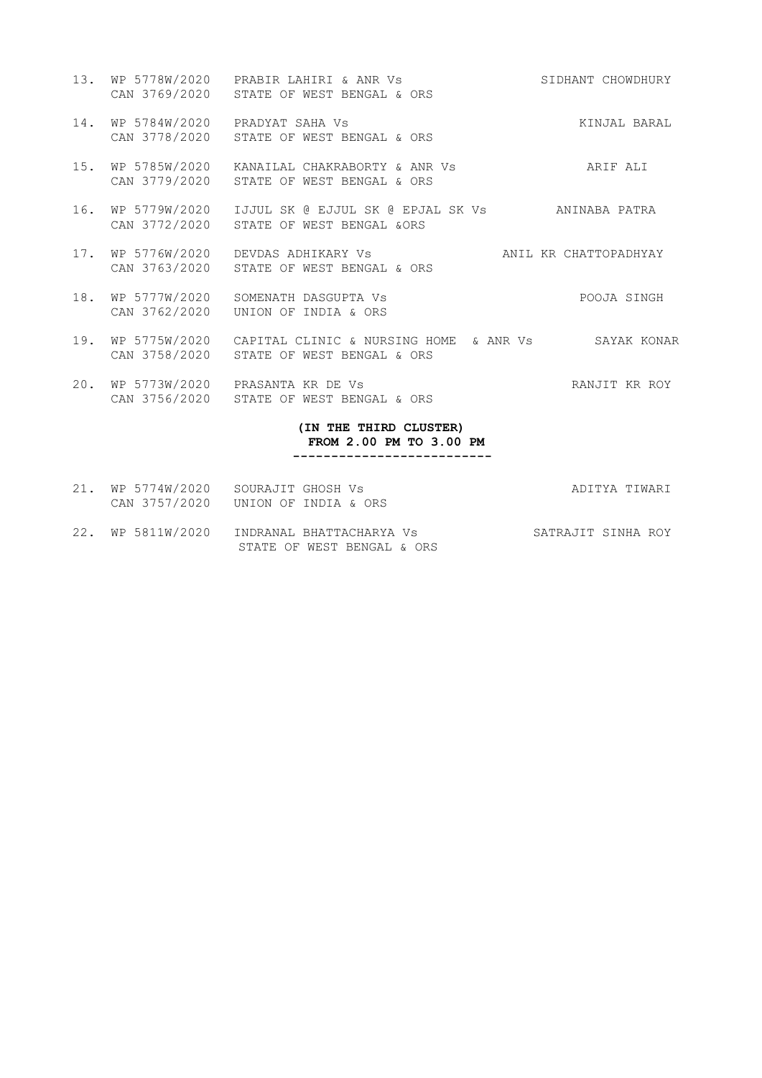- 13. WP 5778W/2020 PRABIR LAHIRI & ANR Vs SIDHANT CHOWDHURY CAN 3769/2020 STATE OF WEST BENGAL & ORS
- 14. WP 5784W/2020 PRADYAT SAHA Vs **KINJAL BARAL** CAN 3778/2020 STATE OF WEST BENGAL & ORS
- 15. WP 5785W/2020 KANAILAL CHAKRABORTY & ANR Vs ARIF ALI CAN 3779/2020 STATE OF WEST BENGAL & ORS
- 16. WP 5779W/2020 IJJUL SK @ EJJUL SK @ EPJAL SK Vs ANINABA PATRA CAN 3772/2020 STATE OF WEST BENGAL &ORS
- 17. WP 5776W/2020 DEVDAS ADHIKARY Vs ANIL KR CHATTOPADHYAY CAN 3763/2020 STATE OF WEST BENGAL & ORS
- 18. WP 5777W/2020 SOMENATH DASGUPTA Vs POOJA SINGH CAN 3762/2020 UNION OF INDIA & ORS
- 19. WP 5775W/2020 CAPITAL CLINIC & NURSING HOME & ANR Vs SAYAK KONAR CAN 3758/2020 STATE OF WEST BENGAL & ORS
- 20. WP 5773W/2020 PRASANTA KR DE Vs RANJIT KR ROY CAN 3756/2020 STATE OF WEST BENGAL & ORS

#### **(IN THE THIRD CLUSTER) FROM 2.00 PM TO 3.00 PM --------------------------**

- 21. WP 5774W/2020 SOURAJIT GHOSH Vs ADITYA TIWARI CAN 3757/2020 UNION OF INDIA & ORS
- 22. WP 5811W/2020 INDRANAL BHATTACHARYA Vs SATRAJIT SINHA ROY STATE OF WEST BENGAL & ORS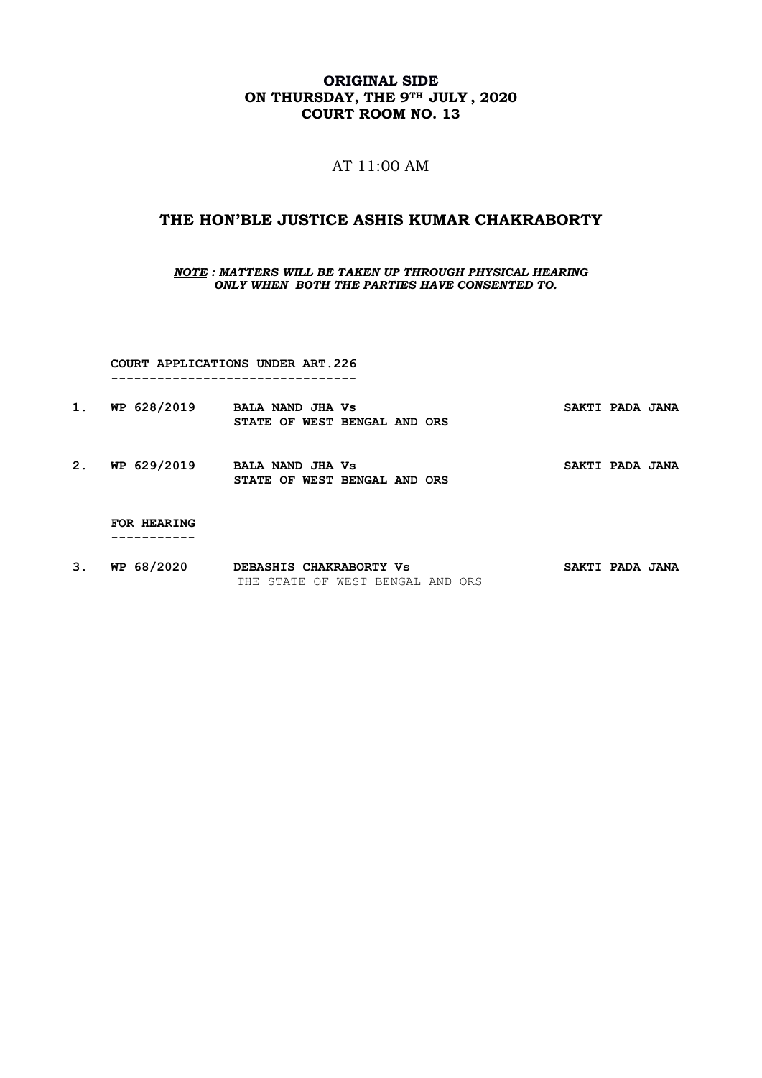## **ORIGINAL SIDE ON THURSDAY, THE 9TH JULY , 2020 COURT ROOM NO. 13**

## AT 11:00 AM

### **THE HON'BLE JUSTICE ASHIS KUMAR CHAKRABORTY**

*NOTE : MATTERS WILL BE TAKEN UP THROUGH PHYSICAL HEARING ONLY WHEN BOTH THE PARTIES HAVE CONSENTED TO.*

 **COURT APPLICATIONS UNDER ART.226 --------------------------------**

| WP 628/2019 | <b>BALA NAND JHA Vs</b>      | SAKTI PADA JANA |
|-------------|------------------------------|-----------------|
|             | STATE OF WEST BENGAL AND ORS |                 |

2. WP 629/2019 BALA NAND JHA Vs **SAKTI PADA JANA STATE OF WEST BENGAL AND ORS** 

 **FOR HEARING -----------**

3. WP 68/2020 DEBASHIS CHAKRABORTY Vs SAKTI PADA JANA THE STATE OF WEST BENGAL AND ORS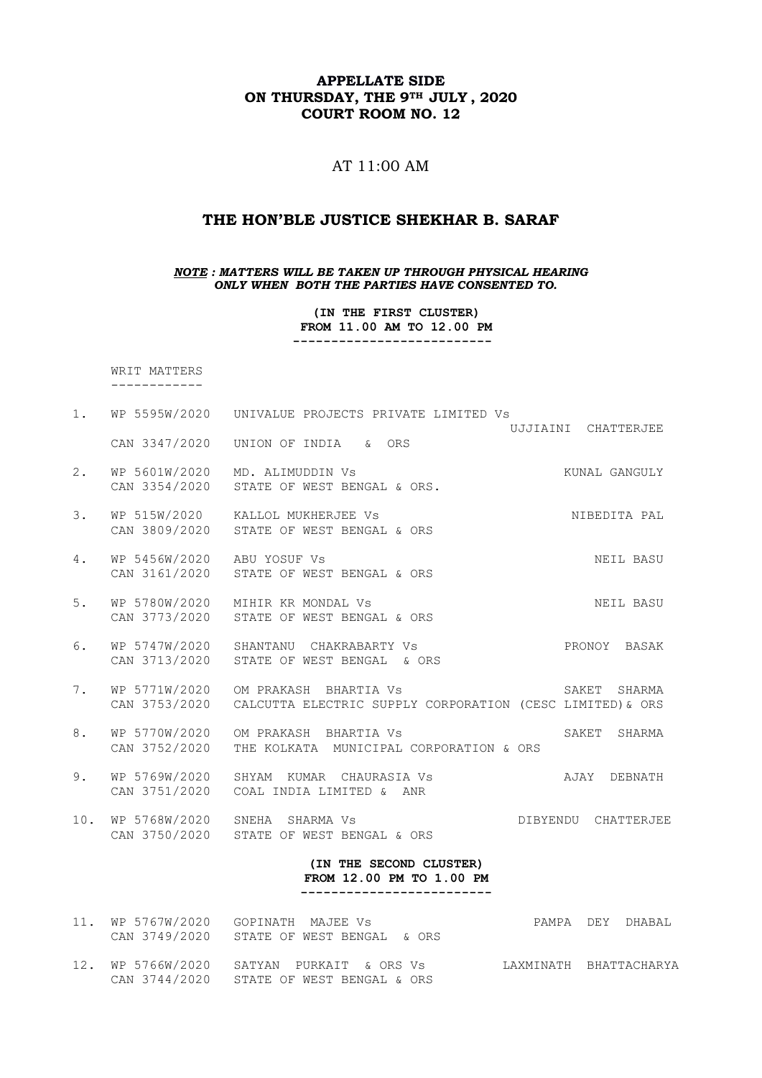## **APPELLATE SIDE ON THURSDAY, THE 9TH JULY , 2020 COURT ROOM NO. 12**

# AT 11:00 AM

### **THE HON'BLE JUSTICE SHEKHAR B. SARAF**

*NOTE : MATTERS WILL BE TAKEN UP THROUGH PHYSICAL HEARING ONLY WHEN BOTH THE PARTIES HAVE CONSENTED TO.*

> **(IN THE FIRST CLUSTER) FROM 11.00 AM TO 12.00 PM --------------------------**

 WRIT MATTERS ------------

| 1.  | WP 5595W/2020                               | UNIVALUE PROJECTS PRIVATE LIMITED VS                                               |                        |  |
|-----|---------------------------------------------|------------------------------------------------------------------------------------|------------------------|--|
|     | CAN 3347/2020                               | UNION OF INDIA & ORS                                                               | UJJIAINI CHATTERJEE    |  |
| 2.  | WP 5601W/2020<br>CAN 3354/2020              | MD. ALIMUDDIN Vs<br>STATE OF WEST BENGAL & ORS.                                    | KUNAL GANGULY          |  |
| 3.  | CAN 3809/2020                               | WP 515W/2020 KALLOL MUKHERJEE Vs<br>STATE OF WEST BENGAL & ORS                     | NIBEDITA PAL           |  |
| 4.  | WP 5456W/2020 ABU YOSUF Vs<br>CAN 3161/2020 | STATE OF WEST BENGAL & ORS                                                         | NEIL BASU              |  |
| 5.  | WP 5780W/2020<br>CAN 3773/2020              | MIHIR KR MONDAL Vs<br>STATE OF WEST BENGAL & ORS                                   | NEIL BASU              |  |
| 6.  | WP 5747W/2020<br>CAN 3713/2020              | SHANTANU CHAKRABARTY Vs<br>STATE OF WEST BENGAL & ORS                              | PRONOY BASAK           |  |
| 7.  | WP 5771W/2020<br>CAN 3753/2020              | OM PRAKASH BHARTIA VS<br>CALCUTTA ELECTRIC SUPPLY CORPORATION (CESC LIMITED) & ORS | SAKET<br>SHARMA        |  |
| 8.  | WP 5770W/2020<br>CAN 3752/2020              | OM PRAKASH BHARTIA VS<br>THE KOLKATA MUNICIPAL CORPORATION & ORS                   | SAKET<br>SHARMA        |  |
| 9.  | WP 5769W/2020<br>CAN 3751/2020              | SHYAM KUMAR CHAURASIA Vs<br>COAL INDIA LIMITED & ANR                               | AJAY DEBNATH           |  |
|     |                                             | 10. WP 5768W/2020 SNEHA SHARMA Vs<br>CAN 3750/2020 STATE OF WEST BENGAL & ORS      | DIBYENDU CHATTERJEE    |  |
|     |                                             | (IN THE SECOND CLUSTER)<br>FROM 12.00 PM TO 1.00 PM                                |                        |  |
| 11. | CAN 3749/2020                               | WP 5767W/2020 GOPINATH MAJEE Vs<br>STATE OF WEST BENGAL & ORS                      | PAMPA DEY DHABAL       |  |
| 12. | WP 5766W/2020<br>CAN 3744/2020              | SATYAN PURKAIT & ORS Vs<br>STATE OF WEST BENGAL & ORS                              | LAXMINATH BHATTACHARYA |  |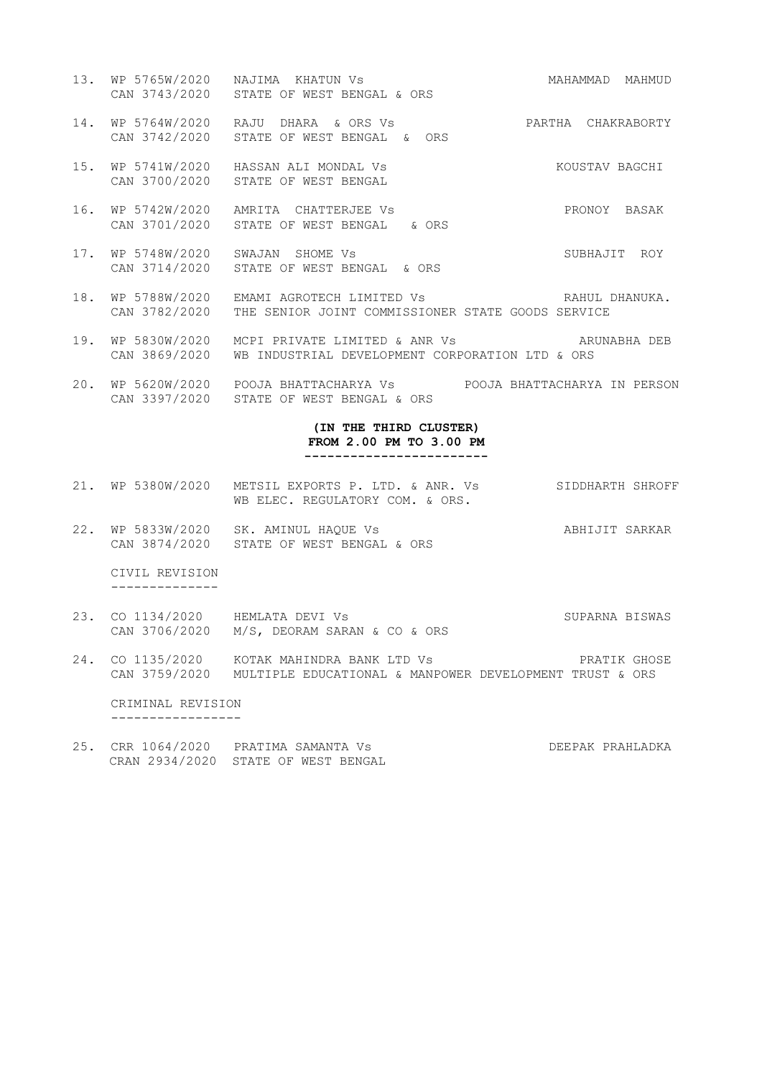- 13. WP 5765W/2020 NAJIMA KHATUN Vs **MAHAMMAD MAHMUD** CAN 3743/2020 STATE OF WEST BENGAL & ORS
- 14. WP 5764W/2020 RAJU DHARA & ORS Vs PARTHA CHAKRABORTY CAN 3742/2020 STATE OF WEST BENGAL & ORS
- 15. WP 5741W/2020 HASSAN ALI MONDAL Vs KOUSTAV BAGCHI CAN 3700/2020 STATE OF WEST BENGAL
- 16. WP 5742W/2020 AMRITA CHATTERJEE Vs PRONOY BASAK CAN 3701/2020 STATE OF WEST BENGAL & ORS
- 17. WP 5748W/2020 SWAJAN SHOME Vs SUBHAJIT ROY CAN 3714/2020 STATE OF WEST BENGAL & ORS
- 18. WP 5788W/2020 EMAMI AGROTECH LIMITED Vs SAHUL DHANUKA. CAN 3782/2020 THE SENIOR JOINT COMMISSIONER STATE GOODS SERVICE
- 19. WP 5830W/2020 MCPI PRIVATE LIMITED & ANR Vs ARUNABHA DEB CAN 3869/2020 WB INDUSTRIAL DEVELOPMENT CORPORATION LTD & ORS
- 20. WP 5620W/2020 POOJA BHATTACHARYA Vs POOJA BHATTACHARYA IN PERSON CAN 3397/2020 STATE OF WEST BENGAL & ORS

#### **(IN THE THIRD CLUSTER) FROM 2.00 PM TO 3.00 PM ------------------------**

- 21. WP 5380W/2020 METSIL EXPORTS P. LTD. & ANR. Vs SIDDHARTH SHROFF WB ELEC. REGULATORY COM. & ORS.
- 22. WP 5833W/2020 SK. AMINUL HAQUE Vs ABHIJIT SARKAR CAN 3874/2020 STATE OF WEST BENGAL & ORS

 CIVIL REVISION --------------

- 23. CO 1134/2020 HEMLATA DEVI Vs SUPARNA BISWAS CAN 3706/2020 M/S, DEORAM SARAN & CO & ORS
- 24. CO 1135/2020 KOTAK MAHINDRA BANK LTD Vs PRATIK GHOSE CAN 3759/2020 MULTIPLE EDUCATIONAL & MANPOWER DEVELOPMENT TRUST & ORS

 CRIMINAL REVISION -----------------

<sup>25.</sup> CRR 1064/2020 PRATIMA SAMANTA Vs DEEPAK PRAHLADKA CRAN 2934/2020 STATE OF WEST BENGAL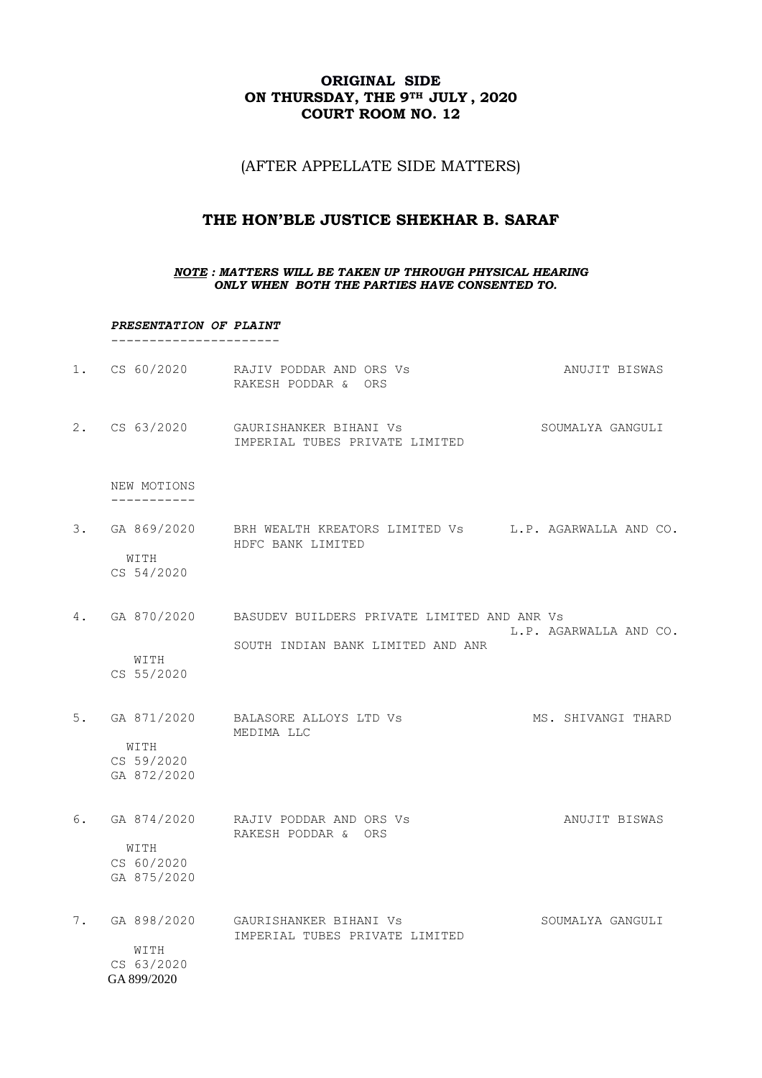## **ORIGINAL SIDE ON THURSDAY, THE 9TH JULY , 2020 COURT ROOM NO. 12**

(AFTER APPELLATE SIDE MATTERS)

# **THE HON'BLE JUSTICE SHEKHAR B. SARAF**

### *NOTE : MATTERS WILL BE TAKEN UP THROUGH PHYSICAL HEARING ONLY WHEN BOTH THE PARTIES HAVE CONSENTED TO.*

#### *PRESENTATION OF PLAINT* ----------------------

|                                   | 1. CS 60/2020 RAJIV PODDAR AND ORS Vs<br>RAKESH PODDAR & ORS                                    | ANUJIT BISWAS          |
|-----------------------------------|-------------------------------------------------------------------------------------------------|------------------------|
|                                   | 2. CS 63/2020 GAURISHANKER BIHANI Vs<br>IMPERIAL TUBES PRIVATE LIMITED                          | SOUMALYA GANGULI       |
| NEW MOTIONS<br>-----------        |                                                                                                 |                        |
| WITH<br>CS 54/2020                | 3. GA 869/2020 BRH WEALTH KREATORS LIMITED Vs L.P. AGARWALLA AND CO.<br>HDFC BANK LIMITED       |                        |
| WITH<br>CS 55/2020                | 4. GA 870/2020 BASUDEV BUILDERS PRIVATE LIMITED AND ANR Vs<br>SOUTH INDIAN BANK LIMITED AND ANR | L.P. AGARWALLA AND CO. |
| WITH<br>CS 59/2020<br>GA 872/2020 | 5. GA 871/2020 BALASORE ALLOYS LTD Vs<br>MEDIMA LLC                                             | MS. SHIVANGI THARD     |
| WITH<br>CS 60/2020<br>GA 875/2020 | 6. GA 874/2020 RAJIV PODDAR AND ORS Vs<br>RAKESH PODDAR & ORS                                   | ANUJIT BISWAS          |
| WITH<br>CS 63/2020<br>GA 899/2020 | 7. GA 898/2020 GAURISHANKER BIHANI Vs<br>IMPERIAL TUBES PRIVATE LIMITED                         | SOUMALYA GANGULI       |